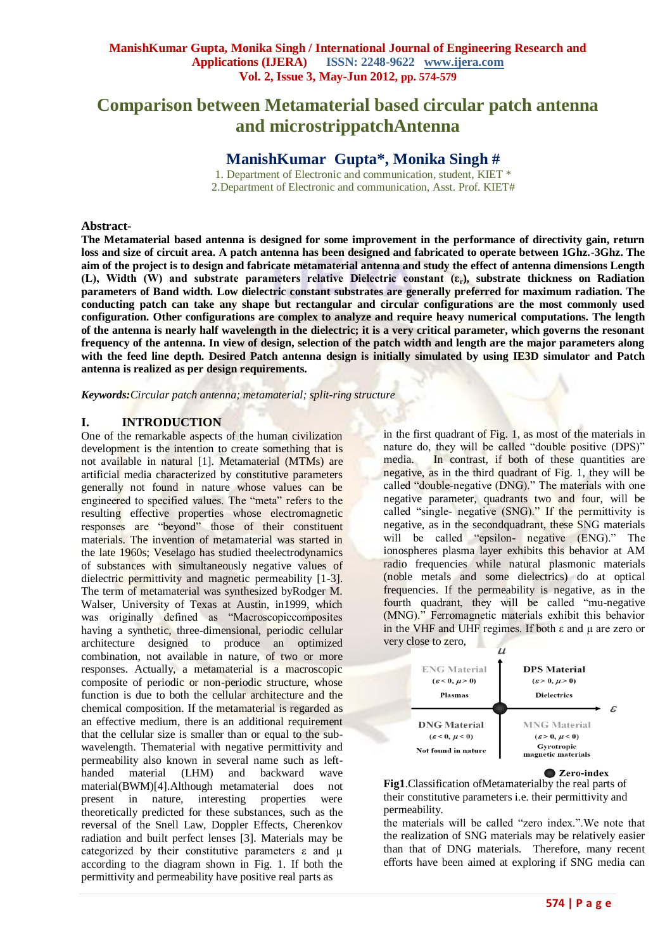# **Comparison between Metamaterial based circular patch antenna and microstrippatchAntenna**

## **ManishKumar Gupta\* , Monika Singh #**

1. Department of Electronic and communication, student, KIET \* 2.Department of Electronic and communication, Asst. Prof. KIET#

#### **Abstract-**

**The Metamaterial based antenna is designed for some improvement in the performance of directivity gain, return loss and size of circuit area. A patch antenna has been designed and fabricated to operate between 1Ghz.-3Ghz. The aim of the project is to design and fabricate metamaterial antenna and study the effect of antenna dimensions Length (L), Width (W) and substrate parameters relative Dielectric constant (εr), substrate thickness on Radiation parameters of Band width. Low dielectric constant substrates are generally preferred for maximum radiation. The conducting patch can take any shape but rectangular and circular configurations are the most commonly used configuration. Other configurations are complex to analyze and require heavy numerical computations. The length of the antenna is nearly half wavelength in the dielectric; it is a very critical parameter, which governs the resonant frequency of the antenna. In view of design, selection of the patch width and length are the major parameters along with the feed line depth. Desired Patch antenna design is initially simulated by using IE3D simulator and Patch antenna is realized as per design requirements.** 

*Keywords:Circular patch antenna; metamaterial; split-ring structure* 

## **I. INTRODUCTION**

One of the remarkable aspects of the human civilization development is the intention to create something that is not available in natural [1]. Metamaterial (MTMs) are artificial media characterized by constitutive parameters generally not found in nature whose values can be engineered to specified values. The "meta" refers to the resulting effective properties whose electromagnetic responses are "beyond" those of their constituent materials. The invention of metamaterial was started in the late 1960s; Veselago has studied theelectrodynamics of substances with simultaneously negative values of dielectric permittivity and magnetic permeability [1-3]. The term of metamaterial was synthesized byRodger M. Walser, University of Texas at Austin, in1999, which was originally defined as "Macroscopiccomposites" having a synthetic, three-dimensional, periodic cellular architecture designed to produce an optimized combination, not available in nature, of two or more responses. Actually, a metamaterial is a macroscopic composite of periodic or non-periodic structure, whose function is due to both the cellular architecture and the chemical composition. If the metamaterial is regarded as an effective medium, there is an additional requirement that the cellular size is smaller than or equal to the subwavelength. Thematerial with negative permittivity and permeability also known in several name such as lefthanded material (LHM) and backward wave material(BWM)[4].Although metamaterial does not present in nature, interesting properties were theoretically predicted for these substances, such as the reversal of the Snell Law, Doppler Effects, Cherenkov radiation and built perfect lenses [3]. Materials may be categorized by their constitutive parameters  $\varepsilon$  and  $\mu$ according to the diagram shown in Fig. 1. If both the permittivity and permeability have positive real parts as

in the first quadrant of Fig. 1, as most of the materials in nature do, they will be called "double positive (DPS)" media. In contrast, if both of these quantities are negative, as in the third quadrant of Fig. 1, they will be called "double-negative (DNG)." The materials with one negative parameter, quadrants two and four, will be called "single- negative (SNG)." If the permittivity is negative, as in the secondquadrant, these SNG materials will be called "epsilon- negative (ENG)." The ionospheres plasma layer exhibits this behavior at AM radio frequencies while natural plasmonic materials (noble metals and some dielectrics) do at optical frequencies. If the permeability is negative, as in the fourth quadrant, they will be called "mu-negative (MNG)." Ferromagnetic materials exhibit this behavior in the VHF and UHF regimes. If both  $ε$  and  $μ$  are zero or very close to zero,



**■ Zero-index** 

**Fig1**.Classification ofMetamaterialby the real parts of their constitutive parameters i.e. their permittivity and permeability.

the materials will be called "zero index.".We note that the realization of SNG materials may be relatively easier than that of DNG materials. Therefore, many recent efforts have been aimed at exploring if SNG media can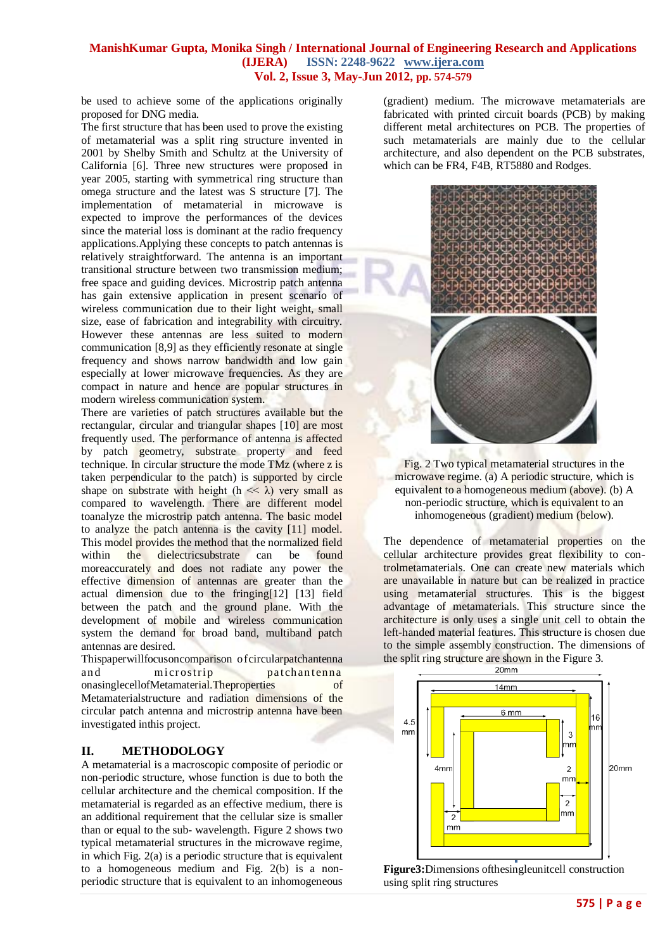be used to achieve some of the applications originally proposed for DNG media.

The first structure that has been used to prove the existing of metamaterial was a split ring structure invented in 2001 by Shelby Smith and Schultz at the University of California [6]. Three new structures were proposed in year 2005, starting with symmetrical ring structure than omega structure and the latest was S structure [7]. The implementation of metamaterial in microwave is expected to improve the performances of the devices since the material loss is dominant at the radio frequency applications.Applying these concepts to patch antennas is relatively straightforward. The antenna is an important transitional structure between two transmission medium; free space and guiding devices. Microstrip patch antenna has gain extensive application in present scenario of wireless communication due to their light weight, small size, ease of fabrication and integrability with circuitry. However these antennas are less suited to modern communication [8,9] as they efficiently resonate at single frequency and shows narrow bandwidth and low gain especially at lower microwave frequencies. As they are compact in nature and hence are popular structures in modern wireless communication system.

There are varieties of patch structures available but the rectangular, circular and triangular shapes [10] are most frequently used. The performance of antenna is affected by patch geometry, substrate property and feed technique. In circular structure the mode TMz (where z is taken perpendicular to the patch) is supported by circle shape on substrate with height ( $h \ll \lambda$ ) very small as compared to wavelength. There are different model toanalyze the microstrip patch antenna. The basic model to analyze the patch antenna is the cavity [11] model. This model provides the method that the normalized field within the dielectricsubstrate can be found moreaccurately and does not radiate any power the effective dimension of antennas are greater than the actual dimension due to the fringing[12] [13] field between the patch and the ground plane. With the development of mobile and wireless communication system the demand for broad band, multiband patch antennas are desired.

Thispaperwillfocusoncomparison of circularpatchantenna and microstrip patchantenna onasinglecellofMetamaterial.Theproperties of Metamaterialstructure and radiation dimensions of the circular patch antenna and microstrip antenna have been investigated inthis project.

## **II. METHODOLOGY**

A metamaterial is a macroscopic composite of periodic or non-periodic structure, whose function is due to both the cellular architecture and the chemical composition. If the metamaterial is regarded as an effective medium, there is an additional requirement that the cellular size is smaller than or equal to the sub- wavelength. Figure 2 shows two typical metamaterial structures in the microwave regime, in which Fig. 2(a) is a periodic structure that is equivalent to a homogeneous medium and Fig. 2(b) is a nonperiodic structure that is equivalent to an inhomogeneous

(gradient) medium. The microwave metamaterials are fabricated with printed circuit boards (PCB) by making different metal architectures on PCB. The properties of such metamaterials are mainly due to the cellular architecture, and also dependent on the PCB substrates, which can be FR4, F4B, RT5880 and Rodges.



Fig. 2 Two typical metamaterial structures in the microwave regime. (a) A periodic structure, which is equivalent to a homogeneous medium (above). (b) A non-periodic structure, which is equivalent to an inhomogeneous (gradient) medium (below).

The dependence of metamaterial properties on the cellular architecture provides great flexibility to controlmetamaterials. One can create new materials which are unavailable in nature but can be realized in practice using metamaterial structures. This is the biggest advantage of metamaterials. This structure since the architecture is only uses a single unit cell to obtain the left-handed material features. This structure is chosen due to the simple assembly construction. The dimensions of the split ring structure are shown in the Figure 3.



**Figure3:**Dimensions ofthesingleunitcell construction using split ring structures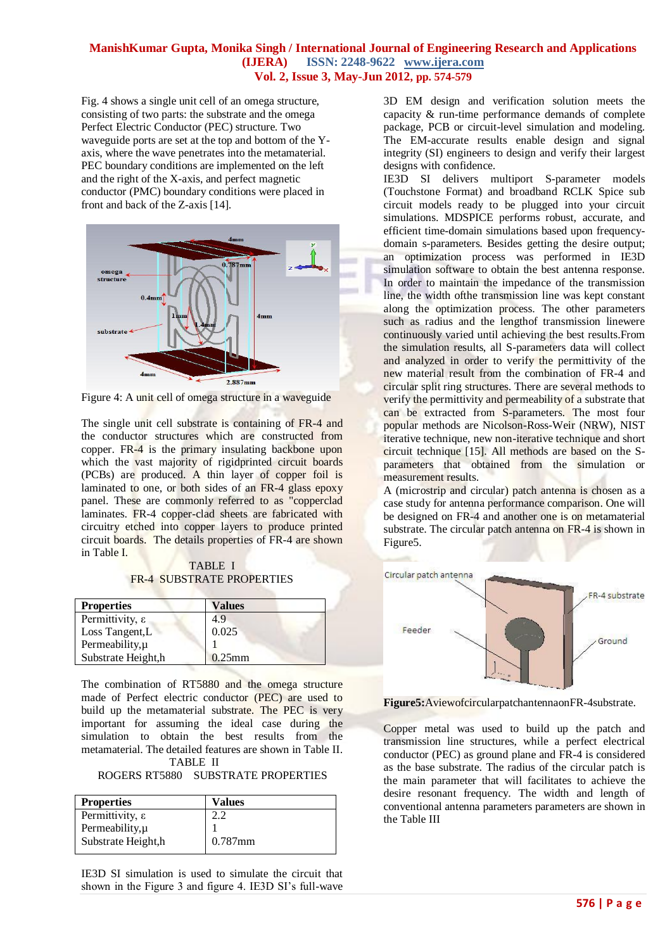Fig. 4 shows a single unit cell of an omega structure, consisting of two parts: the substrate and the omega Perfect Electric Conductor (PEC) structure. Two waveguide ports are set at the top and bottom of the Yaxis, where the wave penetrates into the metamaterial. PEC boundary conditions are implemented on the left and the right of the X-axis, and perfect magnetic conductor (PMC) boundary conditions were placed in front and back of the Z-axis [14].



Figure 4: A unit cell of omega structure in a waveguide

The single unit cell substrate is containing of FR-4 and the conductor structures which are constructed from copper. FR-4 is the primary insulating backbone upon which the vast majority of rigi[dprinted circuit boards](http://en.wikipedia.org/wiki/Printed_circuit_board) (PCBs) are produced. A thin layer of copper foil is laminated to one, or both sides of an FR-4 glass epoxy panel. These are commonly referred to as "copperclad laminates. FR-4 copper-clad sheets are fabricated with circuitry etched into copper layers to produce printed circuit boards. The details properties of FR-4 are shown in Table I.

TABLE I FR-4 SUBSTRATE PROPERTIES

| <b>Properties</b>           | <b>Values</b> |  |
|-----------------------------|---------------|--|
| Permittivity, $\varepsilon$ | 4.9           |  |
| Loss Tangent, L             | 0.025         |  |
| Permeability, µ             |               |  |
| Substrate Height,h          | $0.25$ mm     |  |

The combination of RT5880 and the omega structure made of Perfect electric conductor (PEC) are used to build up the metamaterial substrate. The PEC is very important for assuming the ideal case during the simulation to obtain the best results from the metamaterial. The detailed features are shown in Table II. TABLE II

ROGERS RT5880 SUBSTRATE PROPERTIES

| Values     |
|------------|
|            |
|            |
| $0.787$ mm |
|            |

IE3D SI simulation is used to simulate the circuit that shown in the Figure 3 and figure 4. IE3D SI's full-wave

3D EM design and verification solution meets the capacity & run-time performance demands of complete package, PCB or circuit-level simulation and modeling. The EM-accurate results enable design and signal integrity (SI) engineers to design and verify their largest designs with confidence.

IE3D SI delivers multiport S-parameter models (Touchstone Format) and broadband RCLK Spice sub circuit models ready to be plugged into your circuit simulations. MDSPICE performs robust, accurate, and efficient time-domain simulations based upon frequencydomain s-parameters. Besides getting the desire output; an optimization process was performed in IE3D simulation software to obtain the best antenna response. In order to maintain the impedance of the transmission line, the width ofthe transmission line was kept constant along the optimization process. The other parameters such as radius and the lengthof transmission linewere continuously varied until achieving the best results.From the simulation results, all S-parameters data will collect and analyzed in order to verify the permittivity of the new material result from the combination of FR-4 and circular split ring structures. There are several methods to verify the permittivity and permeability of a substrate that can be extracted from S-parameters. The most four popular methods are Nicolson-Ross-Weir (NRW), NIST iterative technique, new non-iterative technique and short circuit technique [15]. All methods are based on the Sparameters that obtained from the simulation or measurement results.

A (microstrip and circular) patch antenna is chosen as a case study for antenna performance comparison. One will be designed on FR-4 and another one is on metamaterial substrate. The circular patch antenna on FR-4 is shown in Figure5.



**Figure5:**AviewofcircularpatchantennaonFR-4substrate.

Copper metal was used to build up the patch and transmission line structures, while a perfect electrical conductor (PEC) as ground plane and FR-4 is considered as the base substrate. The radius of the circular patch is the main parameter that will facilitates to achieve the desire resonant frequency. The width and length of conventional antenna parameters parameters are shown in the Table III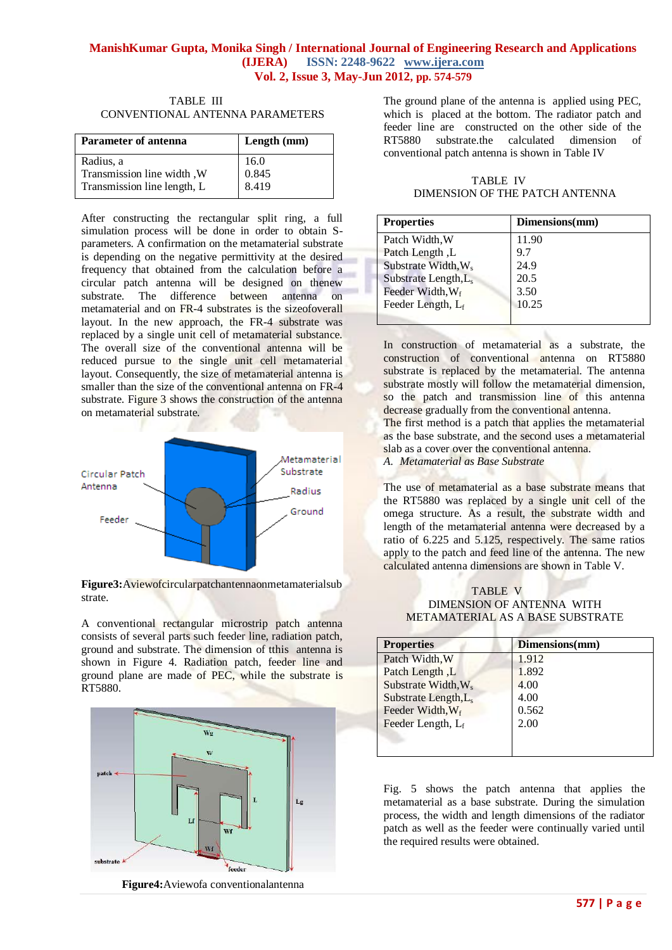| TABLE III                       |
|---------------------------------|
| CONVENTIONAL ANTENNA PARAMETERS |

| <b>Parameter of antenna</b> | Length (mm) |  |
|-----------------------------|-------------|--|
| Radius, a                   | 16.0        |  |
| Transmission line width, W  | 0.845       |  |
| Transmission line length, L | 8.419       |  |

After constructing the rectangular split ring, a full simulation process will be done in order to obtain Sparameters. A confirmation on the metamaterial substrate is depending on the negative permittivity at the desired frequency that obtained from the calculation before a circular patch antenna will be designed on thenew substrate. The difference between antenna on metamaterial and on FR-4 substrates is the sizeofoverall layout. In the new approach, the FR-4 substrate was replaced by a single unit cell of metamaterial substance. The overall size of the conventional antenna will be reduced pursue to the single unit cell metamaterial layout. Consequently, the size of metamaterial antenna is smaller than the size of the conventional antenna on FR-4 substrate. Figure 3 shows the construction of the antenna on metamaterial substrate.





A conventional rectangular microstrip patch antenna consists of several parts such feeder line, radiation patch, ground and substrate. The dimension of tthis antenna is shown in Figure 4. Radiation patch, feeder line and ground plane are made of PEC, while the substrate is RT5880.



**Figure4:**Aviewofa conventionalantenna

The ground plane of the antenna is applied using PEC, which is placed at the bottom. The radiator patch and feeder line are constructed on the other side of the RT5880 substrate.the calculated dimension of conventional patch antenna is shown in Table IV

TABLE IV DIMENSION OF THE PATCH ANTENNA

| <b>Properties</b>                | Dimensions(mm) |
|----------------------------------|----------------|
| Patch Width, W                   | 11.90          |
| Patch Length, L                  | 9.7            |
| Substrate Width, W <sub>s</sub>  | 24.9           |
| Substrate Length, L <sub>s</sub> | 20.5           |
| Feeder Width, Wf                 | 3.50           |
| Feeder Length, L <sub>f</sub>    | 10.25          |
|                                  |                |

In construction of metamaterial as a substrate, the construction of conventional antenna on RT5880 substrate is replaced by the metamaterial. The antenna substrate mostly will follow the metamaterial dimension, so the patch and transmission line of this antenna decrease gradually from the conventional antenna.

The first method is a patch that applies the metamaterial as the base substrate, and the second uses a metamaterial slab as a cover over the conventional antenna.

*A. Metamaterial as Base Substrate*

The use of metamaterial as a base substrate means that the RT5880 was replaced by a single unit cell of the omega structure. As a result, the substrate width and length of the metamaterial antenna were decreased by a ratio of 6.225 and 5.125, respectively. The same ratios apply to the patch and feed line of the antenna. The new calculated antenna dimensions are shown in Table V.

TABLE V DIMENSION OF ANTENNA WITH METAMATERIAL AS A BASE SUBSTRATE

| <b>Properties</b>                | Dimensions(mm) |
|----------------------------------|----------------|
| Patch Width, W                   | 1.912          |
| Patch Length, L                  | 1.892          |
| Substrate Width, W <sub>s</sub>  | 4.00           |
| Substrate Length, L <sub>s</sub> | 4.00           |
| Feeder Width, Wf                 | 0.562          |
| Feeder Length, L <sub>f</sub>    | 2.00           |
|                                  |                |
|                                  |                |

Fig. 5 shows the patch antenna that applies the metamaterial as a base substrate. During the simulation process, the width and length dimensions of the radiator patch as well as the feeder were continually varied until the required results were obtained.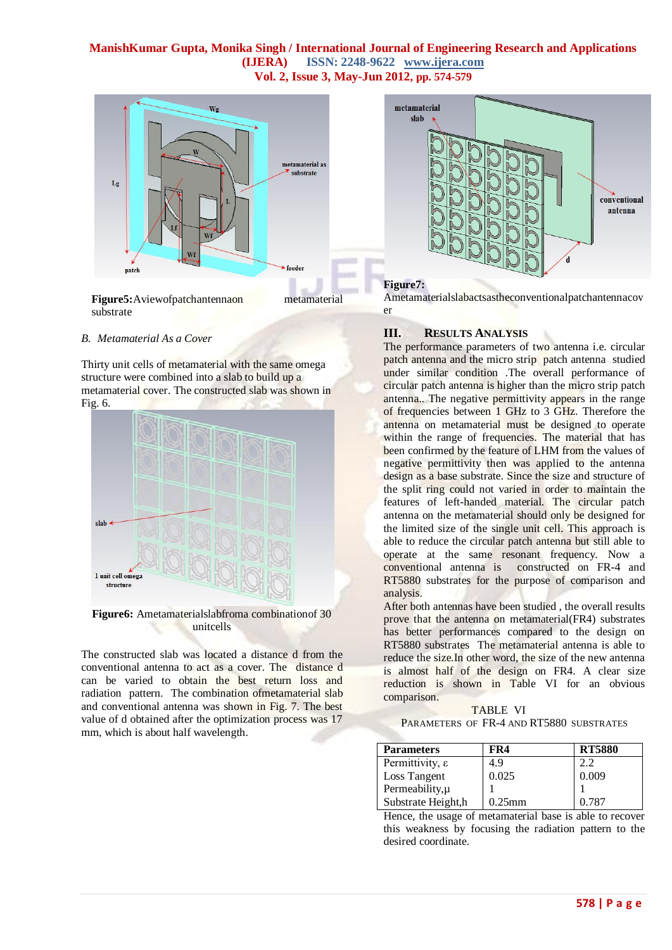

#### *B. Metamaterial As a Cover*

Thirty unit cells of metamaterial with the same omega structure were combined into a slab to build up a metamaterial cover. The constructed slab was shown in Fig. 6.



**Figure6:** Ametamaterialslabfroma combinationof 30 unitcells

The constructed slab was located a distance d from the conventional antenna to act as a cover. The distance d can be varied to obtain the best return loss and radiation pattern. The combination ofmetamaterial slab and conventional antenna was shown in Fig. 7. The best value of d obtained after the optimization process was 17 mm, which is about half wavelength.



#### **Figure7:**

Ametamaterialslabactsastheconventionalpatchantennacov er

## **III. RESULTS ANALYSIS**

The performance parameters of two antenna i.e. circular patch antenna and the micro strip patch antenna studied under similar condition .The overall performance of circular patch antenna is higher than the micro strip patch antenna.. The negative permittivity appears in the range of frequencies between 1 GHz to 3 GHz. Therefore the antenna on metamaterial must be designed to operate within the range of frequencies. The material that has been confirmed by the feature of LHM from the values of negative permittivity then was applied to the antenna design as a base substrate. Since the size and structure of the split ring could not varied in order to maintain the features of left-handed material. The circular patch antenna on the metamaterial should only be designed for the limited size of the single unit cell. This approach is able to reduce the circular patch antenna but still able to operate at the same resonant frequency. Now a conventional antenna is constructed on FR-4 and RT5880 substrates for the purpose of comparison and analysis.

After both antennas have been studied , the overall results prove that the antenna on metamaterial(FR4) substrates has better performances compared to the design on RT5880 substrates The metamaterial antenna is able to reduce the size.In other word, the size of the new antenna is almost half of the design on FR4. A clear size reduction is shown in Table VI for an obvious comparison.

TABLE VI PARAMETERS OF FR-4 AND RT5880 SUBSTRATES

| <b>Parameters</b>           | FR4       | <b>RT5880</b> |
|-----------------------------|-----------|---------------|
| Permittivity, $\varepsilon$ | 4.9       | 2.2           |
| Loss Tangent                | 0.025     | 0.009         |
| Permeability, µ             |           |               |
| Substrate Height, h         | $0.25$ mm | 0.787         |

Hence, the usage of metamaterial base is able to recover this weakness by focusing the radiation pattern to the desired coordinate.